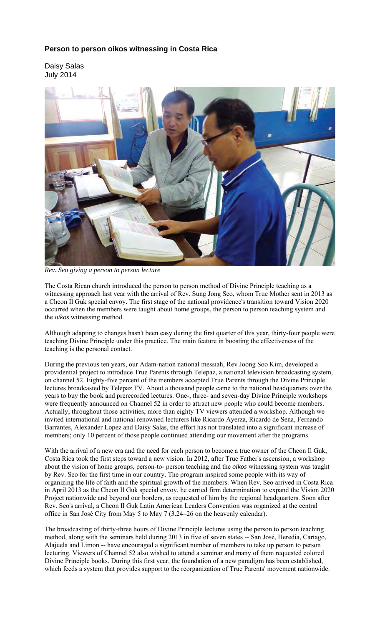## **Person to person oikos witnessing in Costa Rica**

Daisy Salas July 2014



*Rev. Seo giving a person to person lecture* 

The Costa Rican church introduced the person to person method of Divine Principle teaching as a witnessing approach last year with the arrival of Rev. Sung Jong Seo, whom True Mother sent in 2013 as a Cheon Il Guk special envoy. The first stage of the national providence's transition toward Vision 2020 occurred when the members were taught about home groups, the person to person teaching system and the *oikos* witnessing method.

Although adapting to changes hasn't been easy during the first quarter of this year, thirty-four people were teaching Divine Principle under this practice. The main feature in boosting the effectiveness of the teaching is the personal contact.

During the previous ten years, our Adam-nation national messiah, Rev Joong Soo Kim, developed a providential project to introduce True Parents through Telepaz, a national television broadcasting system, on channel 52. Eighty-five percent of the members accepted True Parents through the Divine Principle lectures broadcasted by Telepaz TV. About a thousand people came to the national headquarters over the years to buy the book and prerecorded lectures. One-, three- and seven-day Divine Principle workshops were frequently announced on Channel 52 in order to attract new people who could become members. Actually, throughout those activities, more than eighty TV viewers attended a workshop. Although we invited international and national renowned lecturers like Ricardo Ayerza, Ricardo de Sena, Fernando Barrantes, Alexander Lopez and Daisy Salas, the effort has not translated into a significant increase of members; only 10 percent of those people continued attending our movement after the programs.

With the arrival of a new era and the need for each person to become a true owner of the Cheon Il Guk, Costa Rica took the first steps toward a new vision. In 2012, after True Father's ascension, a workshop about the vision of home groups, person-to- person teaching and the *oikos* witnessing system was taught by Rev. Seo for the first time in our country. The program inspired some people with its way of organizing the life of faith and the spiritual growth of the members. When Rev. Seo arrived in Costa Rica in April 2013 as the Cheon Il Guk special envoy, he carried firm determination to expand the Vision 2020 Project nationwide and beyond our borders, as requested of him by the regional headquarters. Soon after Rev. Seo's arrival, a Cheon Il Guk Latin American Leaders Convention was organized at the central office in San José City from May 5 to May 7 (3.24–26 on the heavenly calendar).

The broadcasting of thirty-three hours of Divine Principle lectures using the person to person teaching method, along with the seminars held during 2013 in five of seven states -- San José, Heredia, Cartago, Alajuela and Limon -- have encouraged a significant number of members to take up person to person lecturing. Viewers of Channel 52 also wished to attend a seminar and many of them requested colored Divine Principle books. During this first year, the foundation of a new paradigm has been established, which feeds a system that provides support to the reorganization of True Parents' movement nationwide.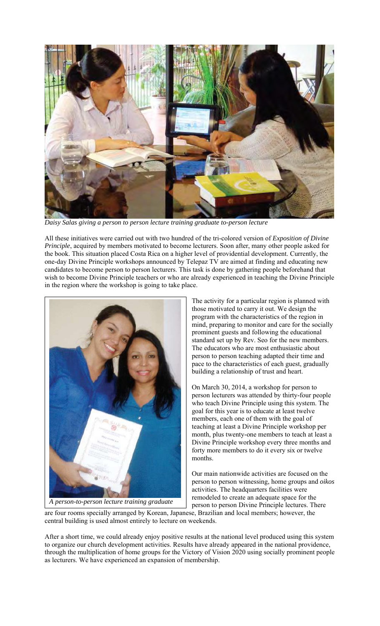

*Daisy Salas giving a person to person lecture training graduate to-person lecture* 

All these initiatives were carried out with two hundred of the tri-colored version of *Exposition of Divine Principle*, acquired by members motivated to become lecturers. Soon after, many other people asked for the book. This situation placed Costa Rica on a higher level of providential development. Currently, the one-day Divine Principle workshops announced by Telepaz TV are aimed at finding and educating new candidates to become person to person lecturers. This task is done by gathering people beforehand that wish to become Divine Principle teachers or who are already experienced in teaching the Divine Principle in the region where the workshop is going to take place.



*A person-to-person lecture training graduate*

The activity for a particular region is planned with those motivated to carry it out. We design the program with the characteristics of the region in mind, preparing to monitor and care for the socially prominent guests and following the educational standard set up by Rev. Seo for the new members. The educators who are most enthusiastic about person to person teaching adapted their time and pace to the characteristics of each guest, gradually building a relationship of trust and heart.

On March 30, 2014, a workshop for person to person lecturers was attended by thirty-four people who teach Divine Principle using this system. The goal for this year is to educate at least twelve members, each one of them with the goal of teaching at least a Divine Principle workshop per month, plus twenty-one members to teach at least a Divine Principle workshop every three months and forty more members to do it every six or twelve months.

Our main nationwide activities are focused on the person to person witnessing, home groups and *oikos*  activities. The headquarters facilities were remodeled to create an adequate space for the person to person Divine Principle lectures. There

are four rooms specially arranged by Korean, Japanese, Brazilian and local members; however, the central building is used almost entirely to lecture on weekends.

After a short time, we could already enjoy positive results at the national level produced using this system to organize our church development activities. Results have already appeared in the national providence, through the multiplication of home groups for the Victory of Vision 2020 using socially prominent people as lecturers. We have experienced an expansion of membership.